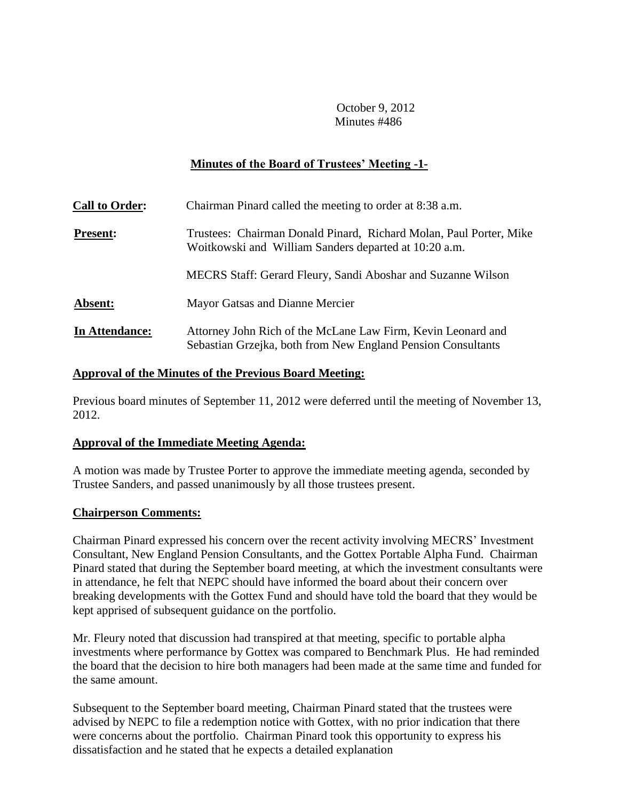# **Minutes of the Board of Trustees' Meeting -1-**

| <b>Call to Order:</b> | Chairman Pinard called the meeting to order at 8:38 a.m.                                                                     |
|-----------------------|------------------------------------------------------------------------------------------------------------------------------|
| <b>Present:</b>       | Trustees: Chairman Donald Pinard, Richard Molan, Paul Porter, Mike<br>Woitkowski and William Sanders departed at 10:20 a.m.  |
|                       | MECRS Staff: Gerard Fleury, Sandi Aboshar and Suzanne Wilson                                                                 |
| Absent:               | Mayor Gatsas and Dianne Mercier                                                                                              |
| In Attendance:        | Attorney John Rich of the McLane Law Firm, Kevin Leonard and<br>Sebastian Grzejka, both from New England Pension Consultants |

#### **Approval of the Minutes of the Previous Board Meeting:**

Previous board minutes of September 11, 2012 were deferred until the meeting of November 13, 2012.

### **Approval of the Immediate Meeting Agenda:**

A motion was made by Trustee Porter to approve the immediate meeting agenda, seconded by Trustee Sanders, and passed unanimously by all those trustees present.

#### **Chairperson Comments:**

Chairman Pinard expressed his concern over the recent activity involving MECRS' Investment Consultant, New England Pension Consultants, and the Gottex Portable Alpha Fund. Chairman Pinard stated that during the September board meeting, at which the investment consultants were in attendance, he felt that NEPC should have informed the board about their concern over breaking developments with the Gottex Fund and should have told the board that they would be kept apprised of subsequent guidance on the portfolio.

Mr. Fleury noted that discussion had transpired at that meeting, specific to portable alpha investments where performance by Gottex was compared to Benchmark Plus. He had reminded the board that the decision to hire both managers had been made at the same time and funded for the same amount.

Subsequent to the September board meeting, Chairman Pinard stated that the trustees were advised by NEPC to file a redemption notice with Gottex, with no prior indication that there were concerns about the portfolio. Chairman Pinard took this opportunity to express his dissatisfaction and he stated that he expects a detailed explanation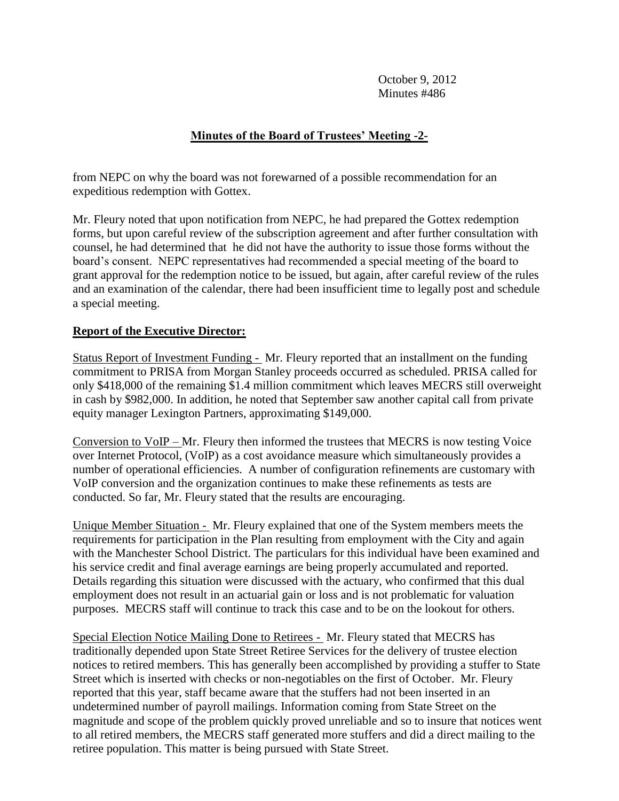# **Minutes of the Board of Trustees' Meeting -2-**

from NEPC on why the board was not forewarned of a possible recommendation for an expeditious redemption with Gottex.

Mr. Fleury noted that upon notification from NEPC, he had prepared the Gottex redemption forms, but upon careful review of the subscription agreement and after further consultation with counsel, he had determined that he did not have the authority to issue those forms without the board's consent. NEPC representatives had recommended a special meeting of the board to grant approval for the redemption notice to be issued, but again, after careful review of the rules and an examination of the calendar, there had been insufficient time to legally post and schedule a special meeting.

### **Report of the Executive Director:**

Status Report of Investment Funding - Mr. Fleury reported that an installment on the funding commitment to PRISA from Morgan Stanley proceeds occurred as scheduled. PRISA called for only \$418,000 of the remaining \$1.4 million commitment which leaves MECRS still overweight in cash by \$982,000. In addition, he noted that September saw another capital call from private equity manager Lexington Partners, approximating \$149,000.

Conversion to VoIP – Mr. Fleury then informed the trustees that MECRS is now testing Voice over Internet Protocol, (VoIP) as a cost avoidance measure which simultaneously provides a number of operational efficiencies. A number of configuration refinements are customary with VoIP conversion and the organization continues to make these refinements as tests are conducted. So far, Mr. Fleury stated that the results are encouraging.

Unique Member Situation - Mr. Fleury explained that one of the System members meets the requirements for participation in the Plan resulting from employment with the City and again with the Manchester School District. The particulars for this individual have been examined and his service credit and final average earnings are being properly accumulated and reported. Details regarding this situation were discussed with the actuary, who confirmed that this dual employment does not result in an actuarial gain or loss and is not problematic for valuation purposes. MECRS staff will continue to track this case and to be on the lookout for others.

Special Election Notice Mailing Done to Retirees - Mr. Fleury stated that MECRS has traditionally depended upon State Street Retiree Services for the delivery of trustee election notices to retired members. This has generally been accomplished by providing a stuffer to State Street which is inserted with checks or non-negotiables on the first of October. Mr. Fleury reported that this year, staff became aware that the stuffers had not been inserted in an undetermined number of payroll mailings. Information coming from State Street on the magnitude and scope of the problem quickly proved unreliable and so to insure that notices went to all retired members, the MECRS staff generated more stuffers and did a direct mailing to the retiree population. This matter is being pursued with State Street.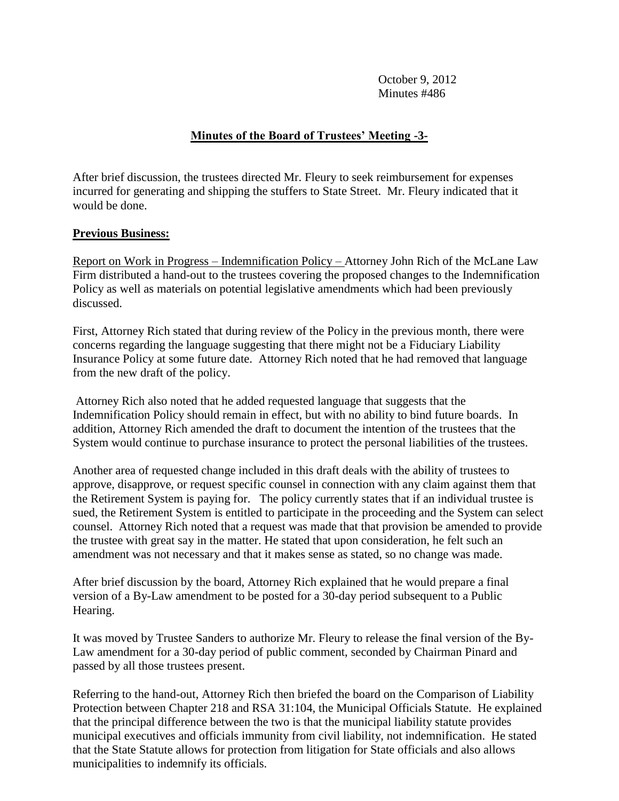# **Minutes of the Board of Trustees' Meeting -3-**

After brief discussion, the trustees directed Mr. Fleury to seek reimbursement for expenses incurred for generating and shipping the stuffers to State Street. Mr. Fleury indicated that it would be done.

#### **Previous Business:**

Report on Work in Progress – Indemnification Policy – Attorney John Rich of the McLane Law Firm distributed a hand-out to the trustees covering the proposed changes to the Indemnification Policy as well as materials on potential legislative amendments which had been previously discussed.

First, Attorney Rich stated that during review of the Policy in the previous month, there were concerns regarding the language suggesting that there might not be a Fiduciary Liability Insurance Policy at some future date. Attorney Rich noted that he had removed that language from the new draft of the policy.

Attorney Rich also noted that he added requested language that suggests that the Indemnification Policy should remain in effect, but with no ability to bind future boards. In addition, Attorney Rich amended the draft to document the intention of the trustees that the System would continue to purchase insurance to protect the personal liabilities of the trustees.

Another area of requested change included in this draft deals with the ability of trustees to approve, disapprove, or request specific counsel in connection with any claim against them that the Retirement System is paying for. The policy currently states that if an individual trustee is sued, the Retirement System is entitled to participate in the proceeding and the System can select counsel. Attorney Rich noted that a request was made that that provision be amended to provide the trustee with great say in the matter. He stated that upon consideration, he felt such an amendment was not necessary and that it makes sense as stated, so no change was made.

After brief discussion by the board, Attorney Rich explained that he would prepare a final version of a By-Law amendment to be posted for a 30-day period subsequent to a Public Hearing.

It was moved by Trustee Sanders to authorize Mr. Fleury to release the final version of the By-Law amendment for a 30-day period of public comment, seconded by Chairman Pinard and passed by all those trustees present.

Referring to the hand-out, Attorney Rich then briefed the board on the Comparison of Liability Protection between Chapter 218 and RSA 31:104, the Municipal Officials Statute. He explained that the principal difference between the two is that the municipal liability statute provides municipal executives and officials immunity from civil liability, not indemnification. He stated that the State Statute allows for protection from litigation for State officials and also allows municipalities to indemnify its officials.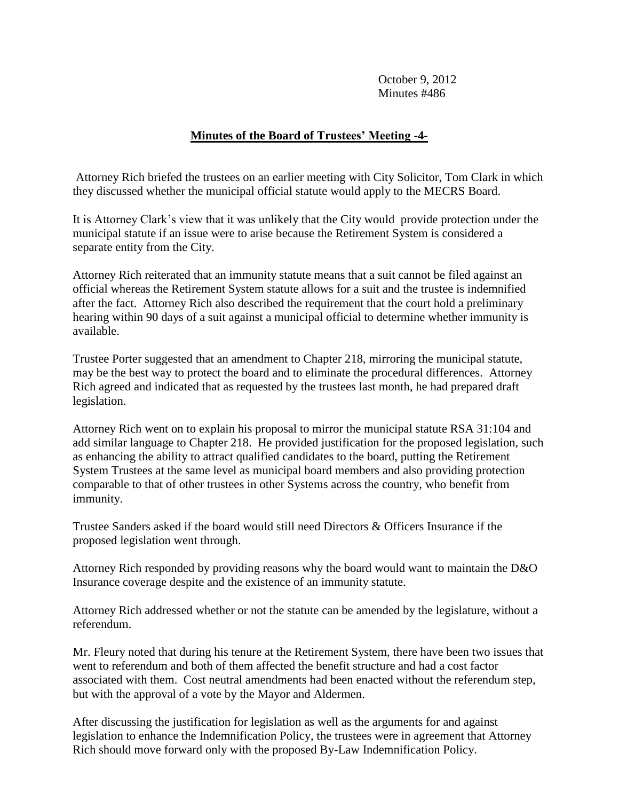### **Minutes of the Board of Trustees' Meeting -4-**

Attorney Rich briefed the trustees on an earlier meeting with City Solicitor, Tom Clark in which they discussed whether the municipal official statute would apply to the MECRS Board.

It is Attorney Clark's view that it was unlikely that the City would provide protection under the municipal statute if an issue were to arise because the Retirement System is considered a separate entity from the City.

Attorney Rich reiterated that an immunity statute means that a suit cannot be filed against an official whereas the Retirement System statute allows for a suit and the trustee is indemnified after the fact. Attorney Rich also described the requirement that the court hold a preliminary hearing within 90 days of a suit against a municipal official to determine whether immunity is available.

Trustee Porter suggested that an amendment to Chapter 218, mirroring the municipal statute, may be the best way to protect the board and to eliminate the procedural differences. Attorney Rich agreed and indicated that as requested by the trustees last month, he had prepared draft legislation.

Attorney Rich went on to explain his proposal to mirror the municipal statute RSA 31:104 and add similar language to Chapter 218. He provided justification for the proposed legislation, such as enhancing the ability to attract qualified candidates to the board, putting the Retirement System Trustees at the same level as municipal board members and also providing protection comparable to that of other trustees in other Systems across the country, who benefit from immunity.

Trustee Sanders asked if the board would still need Directors & Officers Insurance if the proposed legislation went through.

Attorney Rich responded by providing reasons why the board would want to maintain the D&O Insurance coverage despite and the existence of an immunity statute.

Attorney Rich addressed whether or not the statute can be amended by the legislature, without a referendum.

Mr. Fleury noted that during his tenure at the Retirement System, there have been two issues that went to referendum and both of them affected the benefit structure and had a cost factor associated with them. Cost neutral amendments had been enacted without the referendum step, but with the approval of a vote by the Mayor and Aldermen.

After discussing the justification for legislation as well as the arguments for and against legislation to enhance the Indemnification Policy, the trustees were in agreement that Attorney Rich should move forward only with the proposed By-Law Indemnification Policy.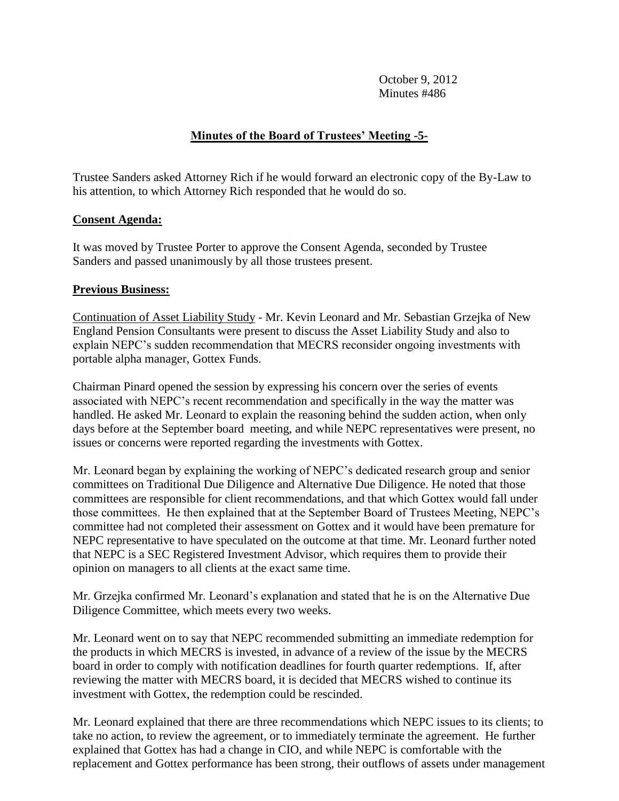# **Minutes of the Board of Trustees' Meeting -5-**

Trustee Sanders asked Attorney Rich if he would forward an electronic copy of the By-Law to his attention, to which Attorney Rich responded that he would do so.

### **Consent Agenda:**

It was moved by Trustee Porter to approve the Consent Agenda, seconded by Trustee Sanders and passed unanimously by all those trustees present.

#### **Previous Business:**

Continuation of Asset Liability Study - Mr. Kevin Leonard and Mr. Sebastian Grzejka of New England Pension Consultants were present to discuss the Asset Liability Study and also to explain NEPC's sudden recommendation that MECRS reconsider ongoing investments with portable alpha manager, Gottex Funds.

Chairman Pinard opened the session by expressing his concern over the series of events associated with NEPC's recent recommendation and specifically in the way the matter was handled. He asked Mr. Leonard to explain the reasoning behind the sudden action, when only days before at the September board meeting, and while NEPC representatives were present, no issues or concerns were reported regarding the investments with Gottex.

Mr. Leonard began by explaining the working of NEPC's dedicated research group and senior committees on Traditional Due Diligence and Alternative Due Diligence. He noted that those committees are responsible for client recommendations, and that which Gottex would fall under those committees. He then explained that at the September Board of Trustees Meeting, NEPC's committee had not completed their assessment on Gottex and it would have been premature for NEPC representative to have speculated on the outcome at that time. Mr. Leonard further noted that NEPC is a SEC Registered Investment Advisor, which requires them to provide their opinion on managers to all clients at the exact same time.

Mr. Grzejka confirmed Mr. Leonard's explanation and stated that he is on the Alternative Due Diligence Committee, which meets every two weeks.

Mr. Leonard went on to say that NEPC recommended submitting an immediate redemption for the products in which MECRS is invested, in advance of a review of the issue by the MECRS board in order to comply with notification deadlines for fourth quarter redemptions. If, after reviewing the matter with MECRS board, it is decided that MECRS wished to continue its investment with Gottex, the redemption could be rescinded.

Mr. Leonard explained that there are three recommendations which NEPC issues to its clients; to take no action, to review the agreement, or to immediately terminate the agreement. He further explained that Gottex has had a change in CIO, and while NEPC is comfortable with the replacement and Gottex performance has been strong, their outflows of assets under management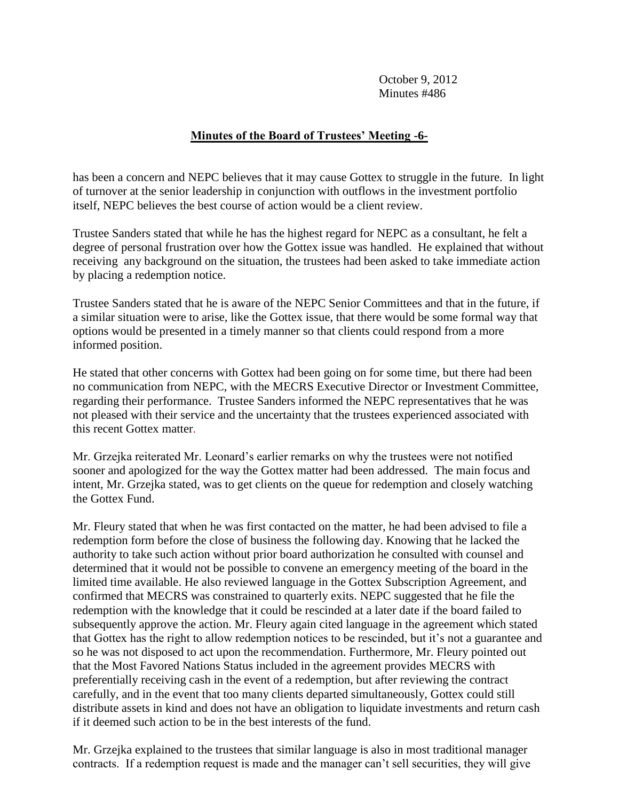# **Minutes of the Board of Trustees' Meeting -6-**

has been a concern and NEPC believes that it may cause Gottex to struggle in the future. In light of turnover at the senior leadership in conjunction with outflows in the investment portfolio itself, NEPC believes the best course of action would be a client review.

Trustee Sanders stated that while he has the highest regard for NEPC as a consultant, he felt a degree of personal frustration over how the Gottex issue was handled. He explained that without receiving any background on the situation, the trustees had been asked to take immediate action by placing a redemption notice.

Trustee Sanders stated that he is aware of the NEPC Senior Committees and that in the future, if a similar situation were to arise, like the Gottex issue, that there would be some formal way that options would be presented in a timely manner so that clients could respond from a more informed position.

He stated that other concerns with Gottex had been going on for some time, but there had been no communication from NEPC, with the MECRS Executive Director or Investment Committee, regarding their performance. Trustee Sanders informed the NEPC representatives that he was not pleased with their service and the uncertainty that the trustees experienced associated with this recent Gottex matter.

Mr. Grzejka reiterated Mr. Leonard's earlier remarks on why the trustees were not notified sooner and apologized for the way the Gottex matter had been addressed. The main focus and intent, Mr. Grzejka stated, was to get clients on the queue for redemption and closely watching the Gottex Fund.

Mr. Fleury stated that when he was first contacted on the matter, he had been advised to file a redemption form before the close of business the following day. Knowing that he lacked the authority to take such action without prior board authorization he consulted with counsel and determined that it would not be possible to convene an emergency meeting of the board in the limited time available. He also reviewed language in the Gottex Subscription Agreement, and confirmed that MECRS was constrained to quarterly exits. NEPC suggested that he file the redemption with the knowledge that it could be rescinded at a later date if the board failed to subsequently approve the action. Mr. Fleury again cited language in the agreement which stated that Gottex has the right to allow redemption notices to be rescinded, but it's not a guarantee and so he was not disposed to act upon the recommendation. Furthermore, Mr. Fleury pointed out that the Most Favored Nations Status included in the agreement provides MECRS with preferentially receiving cash in the event of a redemption, but after reviewing the contract carefully, and in the event that too many clients departed simultaneously, Gottex could still distribute assets in kind and does not have an obligation to liquidate investments and return cash if it deemed such action to be in the best interests of the fund.

Mr. Grzejka explained to the trustees that similar language is also in most traditional manager contracts. If a redemption request is made and the manager can't sell securities, they will give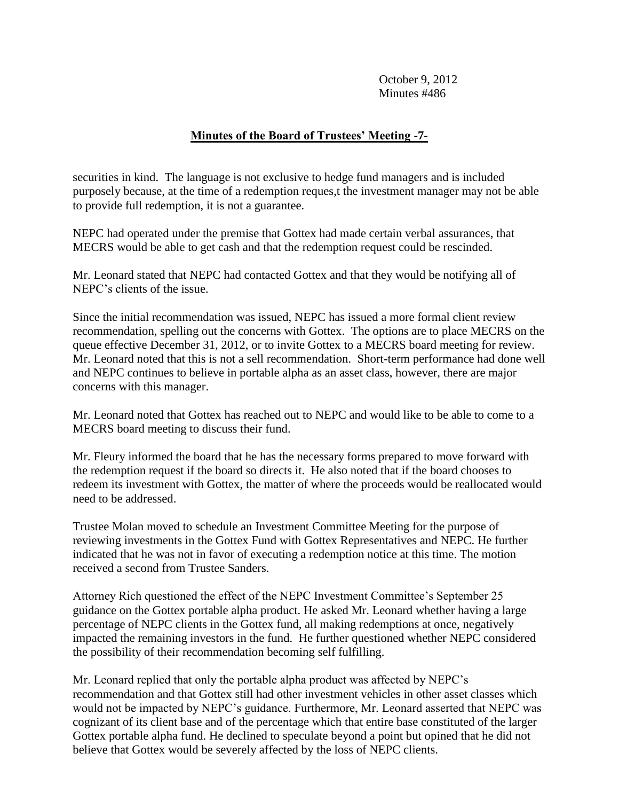# **Minutes of the Board of Trustees' Meeting -7-**

securities in kind. The language is not exclusive to hedge fund managers and is included purposely because, at the time of a redemption reques,t the investment manager may not be able to provide full redemption, it is not a guarantee.

NEPC had operated under the premise that Gottex had made certain verbal assurances, that MECRS would be able to get cash and that the redemption request could be rescinded.

Mr. Leonard stated that NEPC had contacted Gottex and that they would be notifying all of NEPC's clients of the issue.

Since the initial recommendation was issued, NEPC has issued a more formal client review recommendation, spelling out the concerns with Gottex. The options are to place MECRS on the queue effective December 31, 2012, or to invite Gottex to a MECRS board meeting for review. Mr. Leonard noted that this is not a sell recommendation. Short-term performance had done well and NEPC continues to believe in portable alpha as an asset class, however, there are major concerns with this manager.

Mr. Leonard noted that Gottex has reached out to NEPC and would like to be able to come to a MECRS board meeting to discuss their fund.

Mr. Fleury informed the board that he has the necessary forms prepared to move forward with the redemption request if the board so directs it. He also noted that if the board chooses to redeem its investment with Gottex, the matter of where the proceeds would be reallocated would need to be addressed.

Trustee Molan moved to schedule an Investment Committee Meeting for the purpose of reviewing investments in the Gottex Fund with Gottex Representatives and NEPC. He further indicated that he was not in favor of executing a redemption notice at this time. The motion received a second from Trustee Sanders.

Attorney Rich questioned the effect of the NEPC Investment Committee's September 25 guidance on the Gottex portable alpha product. He asked Mr. Leonard whether having a large percentage of NEPC clients in the Gottex fund, all making redemptions at once, negatively impacted the remaining investors in the fund. He further questioned whether NEPC considered the possibility of their recommendation becoming self fulfilling.

Mr. Leonard replied that only the portable alpha product was affected by NEPC's recommendation and that Gottex still had other investment vehicles in other asset classes which would not be impacted by NEPC's guidance. Furthermore, Mr. Leonard asserted that NEPC was cognizant of its client base and of the percentage which that entire base constituted of the larger Gottex portable alpha fund. He declined to speculate beyond a point but opined that he did not believe that Gottex would be severely affected by the loss of NEPC clients.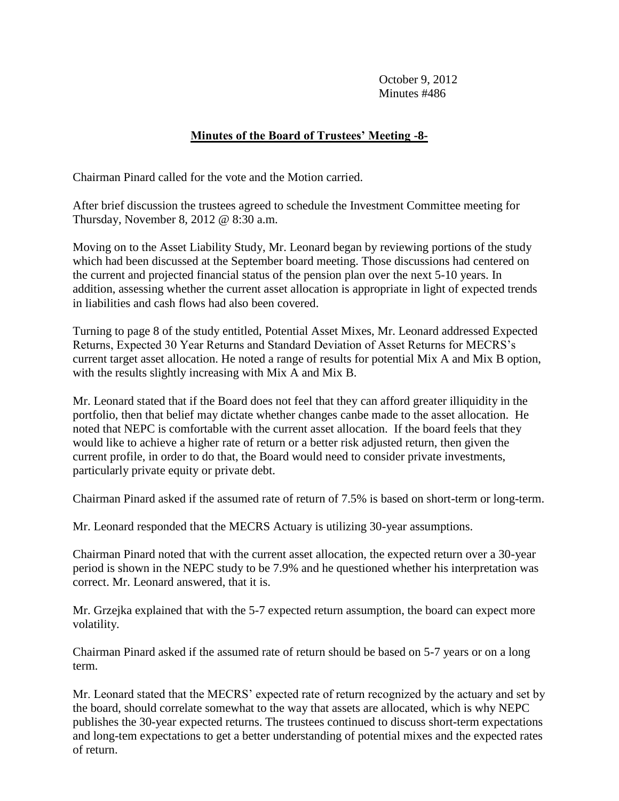# **Minutes of the Board of Trustees' Meeting -8-**

Chairman Pinard called for the vote and the Motion carried.

After brief discussion the trustees agreed to schedule the Investment Committee meeting for Thursday, November 8, 2012 @ 8:30 a.m.

Moving on to the Asset Liability Study, Mr. Leonard began by reviewing portions of the study which had been discussed at the September board meeting. Those discussions had centered on the current and projected financial status of the pension plan over the next 5-10 years. In addition, assessing whether the current asset allocation is appropriate in light of expected trends in liabilities and cash flows had also been covered.

Turning to page 8 of the study entitled, Potential Asset Mixes, Mr. Leonard addressed Expected Returns, Expected 30 Year Returns and Standard Deviation of Asset Returns for MECRS's current target asset allocation. He noted a range of results for potential Mix A and Mix B option, with the results slightly increasing with Mix A and Mix B.

Mr. Leonard stated that if the Board does not feel that they can afford greater illiquidity in the portfolio, then that belief may dictate whether changes canbe made to the asset allocation. He noted that NEPC is comfortable with the current asset allocation. If the board feels that they would like to achieve a higher rate of return or a better risk adjusted return, then given the current profile, in order to do that, the Board would need to consider private investments, particularly private equity or private debt.

Chairman Pinard asked if the assumed rate of return of 7.5% is based on short-term or long-term.

Mr. Leonard responded that the MECRS Actuary is utilizing 30-year assumptions.

Chairman Pinard noted that with the current asset allocation, the expected return over a 30-year period is shown in the NEPC study to be 7.9% and he questioned whether his interpretation was correct. Mr. Leonard answered, that it is.

Mr. Grzejka explained that with the 5-7 expected return assumption, the board can expect more volatility.

Chairman Pinard asked if the assumed rate of return should be based on 5-7 years or on a long term.

Mr. Leonard stated that the MECRS' expected rate of return recognized by the actuary and set by the board, should correlate somewhat to the way that assets are allocated, which is why NEPC publishes the 30-year expected returns. The trustees continued to discuss short-term expectations and long-tem expectations to get a better understanding of potential mixes and the expected rates of return.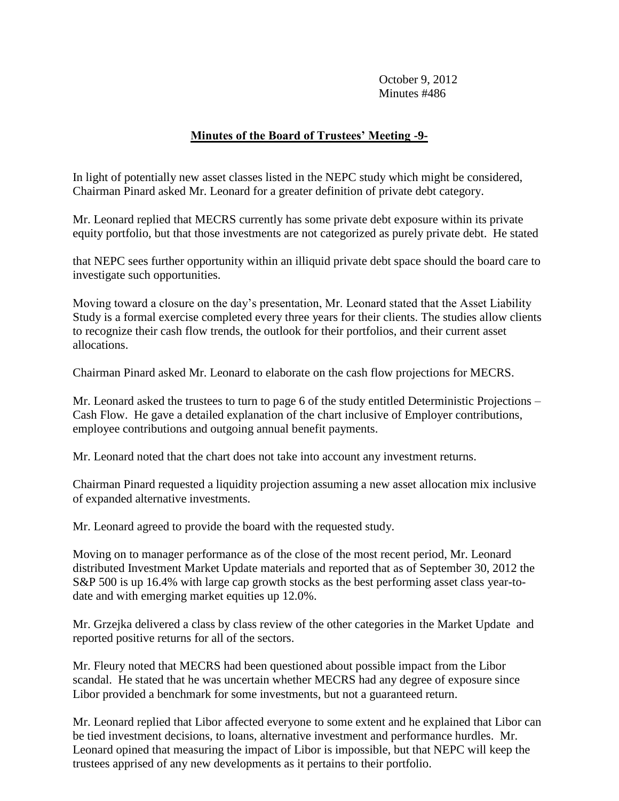# **Minutes of the Board of Trustees' Meeting -9-**

In light of potentially new asset classes listed in the NEPC study which might be considered, Chairman Pinard asked Mr. Leonard for a greater definition of private debt category.

Mr. Leonard replied that MECRS currently has some private debt exposure within its private equity portfolio, but that those investments are not categorized as purely private debt. He stated

that NEPC sees further opportunity within an illiquid private debt space should the board care to investigate such opportunities.

Moving toward a closure on the day's presentation, Mr. Leonard stated that the Asset Liability Study is a formal exercise completed every three years for their clients. The studies allow clients to recognize their cash flow trends, the outlook for their portfolios, and their current asset allocations.

Chairman Pinard asked Mr. Leonard to elaborate on the cash flow projections for MECRS.

Mr. Leonard asked the trustees to turn to page 6 of the study entitled Deterministic Projections – Cash Flow. He gave a detailed explanation of the chart inclusive of Employer contributions, employee contributions and outgoing annual benefit payments.

Mr. Leonard noted that the chart does not take into account any investment returns.

Chairman Pinard requested a liquidity projection assuming a new asset allocation mix inclusive of expanded alternative investments.

Mr. Leonard agreed to provide the board with the requested study.

Moving on to manager performance as of the close of the most recent period, Mr. Leonard distributed Investment Market Update materials and reported that as of September 30, 2012 the S&P 500 is up 16.4% with large cap growth stocks as the best performing asset class year-todate and with emerging market equities up 12.0%.

Mr. Grzejka delivered a class by class review of the other categories in the Market Update and reported positive returns for all of the sectors.

Mr. Fleury noted that MECRS had been questioned about possible impact from the Libor scandal. He stated that he was uncertain whether MECRS had any degree of exposure since Libor provided a benchmark for some investments, but not a guaranteed return.

Mr. Leonard replied that Libor affected everyone to some extent and he explained that Libor can be tied investment decisions, to loans, alternative investment and performance hurdles. Mr. Leonard opined that measuring the impact of Libor is impossible, but that NEPC will keep the trustees apprised of any new developments as it pertains to their portfolio.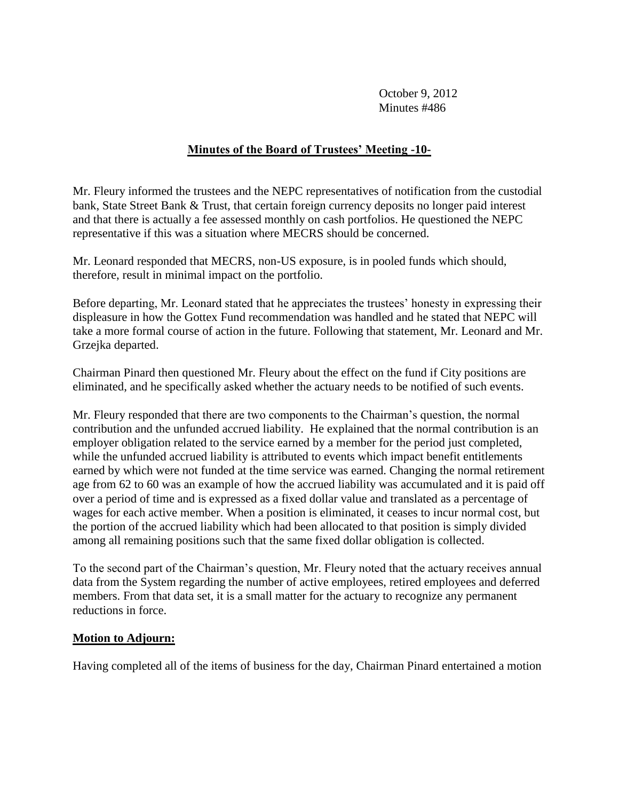### **Minutes of the Board of Trustees' Meeting -10-**

Mr. Fleury informed the trustees and the NEPC representatives of notification from the custodial bank, State Street Bank & Trust, that certain foreign currency deposits no longer paid interest and that there is actually a fee assessed monthly on cash portfolios. He questioned the NEPC representative if this was a situation where MECRS should be concerned.

Mr. Leonard responded that MECRS, non-US exposure, is in pooled funds which should, therefore, result in minimal impact on the portfolio.

Before departing, Mr. Leonard stated that he appreciates the trustees' honesty in expressing their displeasure in how the Gottex Fund recommendation was handled and he stated that NEPC will take a more formal course of action in the future. Following that statement, Mr. Leonard and Mr. Grzejka departed.

Chairman Pinard then questioned Mr. Fleury about the effect on the fund if City positions are eliminated, and he specifically asked whether the actuary needs to be notified of such events.

Mr. Fleury responded that there are two components to the Chairman's question, the normal contribution and the unfunded accrued liability. He explained that the normal contribution is an employer obligation related to the service earned by a member for the period just completed, while the unfunded accrued liability is attributed to events which impact benefit entitlements earned by which were not funded at the time service was earned. Changing the normal retirement age from 62 to 60 was an example of how the accrued liability was accumulated and it is paid off over a period of time and is expressed as a fixed dollar value and translated as a percentage of wages for each active member. When a position is eliminated, it ceases to incur normal cost, but the portion of the accrued liability which had been allocated to that position is simply divided among all remaining positions such that the same fixed dollar obligation is collected.

To the second part of the Chairman's question, Mr. Fleury noted that the actuary receives annual data from the System regarding the number of active employees, retired employees and deferred members. From that data set, it is a small matter for the actuary to recognize any permanent reductions in force.

#### **Motion to Adjourn:**

Having completed all of the items of business for the day, Chairman Pinard entertained a motion